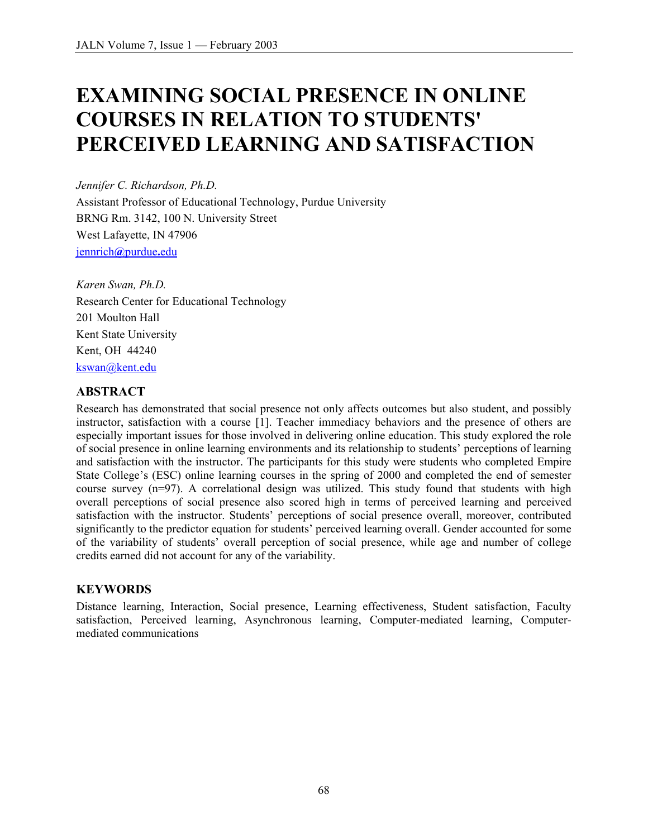# **EXAMINING SOCIAL PRESENCE IN ONLINE COURSES IN RELATION TO STUDENTS' PERCEIVED LEARNING AND SATISFACTION**

*Jennifer C. Richardson, Ph.D.*  Assistant Professor of Educational Technology, Purdue University BRNG Rm. 3142, 100 N. University Street West Lafayette, IN 47906 [jennrich](mailto:jennrich@purdue.edu)**@**purdue**.**edu

*Karen Swan, Ph.D.*  Research Center for Educational Technology 201 Moulton Hall Kent State University Kent, OH 44240 [kswan@kent.edu](mailto:kswan@kent.edu)

#### **ABSTRACT**

Research has demonstrated that social presence not only affects outcomes but also student, and possibly instructor, satisfaction with a course [1]. Teacher immediacy behaviors and the presence of others are especially important issues for those involved in delivering online education. This study explored the role of social presence in online learning environments and its relationship to students' perceptions of learning and satisfaction with the instructor. The participants for this study were students who completed Empire State College's (ESC) online learning courses in the spring of 2000 and completed the end of semester course survey (n=97). A correlational design was utilized. This study found that students with high overall perceptions of social presence also scored high in terms of perceived learning and perceived satisfaction with the instructor. Students' perceptions of social presence overall, moreover, contributed significantly to the predictor equation for students' perceived learning overall. Gender accounted for some of the variability of students' overall perception of social presence, while age and number of college credits earned did not account for any of the variability.

#### **KEYWORDS**

Distance learning, Interaction, Social presence, Learning effectiveness, Student satisfaction, Faculty satisfaction, Perceived learning, Asynchronous learning, Computer-mediated learning, Computermediated communications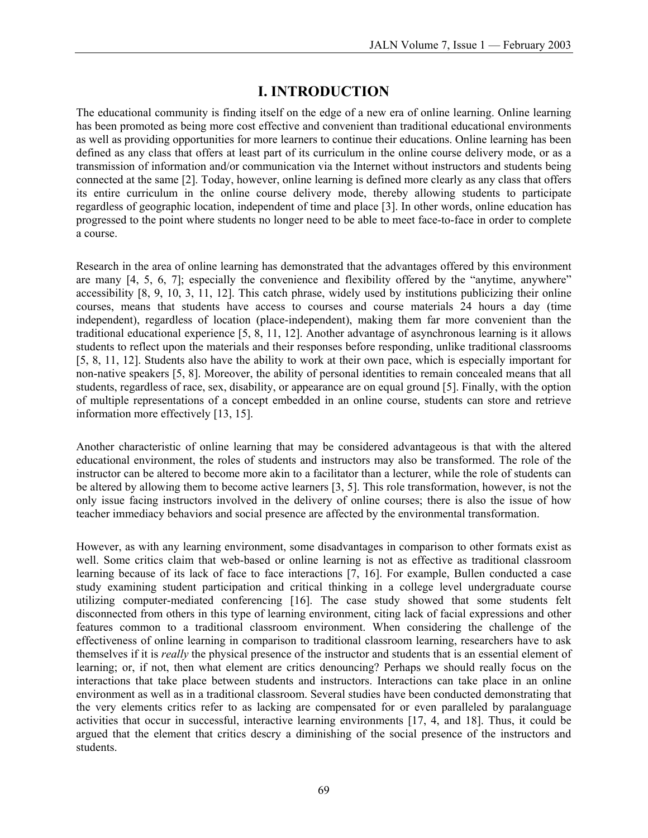## **I. INTRODUCTION**

The educational community is finding itself on the edge of a new era of online learning. Online learning has been promoted as being more cost effective and convenient than traditional educational environments as well as providing opportunities for more learners to continue their educations. Online learning has been defined as any class that offers at least part of its curriculum in the online course delivery mode, or as a transmission of information and/or communication via the Internet without instructors and students being connected at the same [2]. Today, however, online learning is defined more clearly as any class that offers its entire curriculum in the online course delivery mode, thereby allowing students to participate regardless of geographic location, independent of time and place [3]. In other words, online education has progressed to the point where students no longer need to be able to meet face-to-face in order to complete a course.

Research in the area of online learning has demonstrated that the advantages offered by this environment are many [4, 5, 6, 7]; especially the convenience and flexibility offered by the "anytime, anywhere" accessibility [8, 9, 10, 3, 11, 12]. This catch phrase, widely used by institutions publicizing their online courses, means that students have access to courses and course materials 24 hours a day (time independent), regardless of location (place-independent), making them far more convenient than the traditional educational experience [5, 8, 11, 12]. Another advantage of asynchronous learning is it allows students to reflect upon the materials and their responses before responding, unlike traditional classrooms [5, 8, 11, 12]. Students also have the ability to work at their own pace, which is especially important for non-native speakers [5, 8]. Moreover, the ability of personal identities to remain concealed means that all students, regardless of race, sex, disability, or appearance are on equal ground [5]. Finally, with the option of multiple representations of a concept embedded in an online course, students can store and retrieve information more effectively [13, 15].

Another characteristic of online learning that may be considered advantageous is that with the altered educational environment, the roles of students and instructors may also be transformed. The role of the instructor can be altered to become more akin to a facilitator than a lecturer, while the role of students can be altered by allowing them to become active learners [3, 5]. This role transformation, however, is not the only issue facing instructors involved in the delivery of online courses; there is also the issue of how teacher immediacy behaviors and social presence are affected by the environmental transformation.

However, as with any learning environment, some disadvantages in comparison to other formats exist as well. Some critics claim that web-based or online learning is not as effective as traditional classroom learning because of its lack of face to face interactions [7, 16]. For example, Bullen conducted a case study examining student participation and critical thinking in a college level undergraduate course utilizing computer-mediated conferencing [16]. The case study showed that some students felt disconnected from others in this type of learning environment, citing lack of facial expressions and other features common to a traditional classroom environment. When considering the challenge of the effectiveness of online learning in comparison to traditional classroom learning, researchers have to ask themselves if it is *really* the physical presence of the instructor and students that is an essential element of learning; or, if not, then what element are critics denouncing? Perhaps we should really focus on the interactions that take place between students and instructors. Interactions can take place in an online environment as well as in a traditional classroom. Several studies have been conducted demonstrating that the very elements critics refer to as lacking are compensated for or even paralleled by paralanguage activities that occur in successful, interactive learning environments [17, 4, and 18]. Thus, it could be argued that the element that critics descry a diminishing of the social presence of the instructors and students.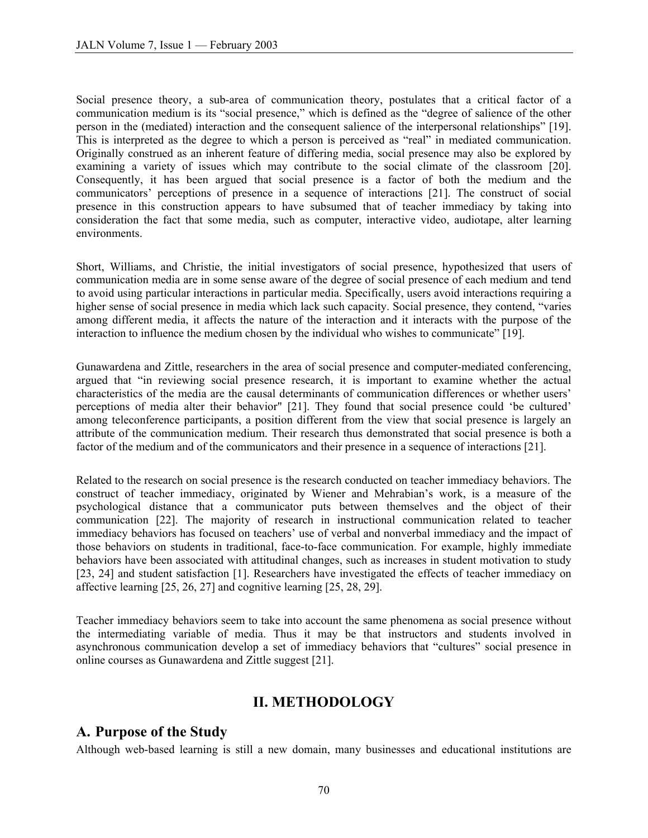Social presence theory, a sub-area of communication theory, postulates that a critical factor of a communication medium is its "social presence," which is defined as the "degree of salience of the other person in the (mediated) interaction and the consequent salience of the interpersonal relationships" [19]. This is interpreted as the degree to which a person is perceived as "real" in mediated communication. Originally construed as an inherent feature of differing media, social presence may also be explored by examining a variety of issues which may contribute to the social climate of the classroom [20]. Consequently, it has been argued that social presence is a factor of both the medium and the communicators' perceptions of presence in a sequence of interactions [21]. The construct of social presence in this construction appears to have subsumed that of teacher immediacy by taking into consideration the fact that some media, such as computer, interactive video, audiotape, alter learning environments.

Short, Williams, and Christie, the initial investigators of social presence, hypothesized that users of communication media are in some sense aware of the degree of social presence of each medium and tend to avoid using particular interactions in particular media. Specifically, users avoid interactions requiring a higher sense of social presence in media which lack such capacity. Social presence, they contend, "varies among different media, it affects the nature of the interaction and it interacts with the purpose of the interaction to influence the medium chosen by the individual who wishes to communicate" [19].

Gunawardena and Zittle, researchers in the area of social presence and computer-mediated conferencing, argued that "in reviewing social presence research, it is important to examine whether the actual characteristics of the media are the causal determinants of communication differences or whether users' perceptions of media alter their behavior" [21]. They found that social presence could 'be cultured' among teleconference participants, a position different from the view that social presence is largely an attribute of the communication medium. Their research thus demonstrated that social presence is both a factor of the medium and of the communicators and their presence in a sequence of interactions [21].

Related to the research on social presence is the research conducted on teacher immediacy behaviors. The construct of teacher immediacy, originated by Wiener and Mehrabian's work, is a measure of the psychological distance that a communicator puts between themselves and the object of their communication [22]. The majority of research in instructional communication related to teacher immediacy behaviors has focused on teachers' use of verbal and nonverbal immediacy and the impact of those behaviors on students in traditional, face-to-face communication. For example, highly immediate behaviors have been associated with attitudinal changes, such as increases in student motivation to study [23, 24] and student satisfaction [1]. Researchers have investigated the effects of teacher immediacy on affective learning [25, 26, 27] and cognitive learning [25, 28, 29].

Teacher immediacy behaviors seem to take into account the same phenomena as social presence without the intermediating variable of media. Thus it may be that instructors and students involved in asynchronous communication develop a set of immediacy behaviors that "cultures" social presence in online courses as Gunawardena and Zittle suggest [21].

#### **II. METHODOLOGY**

#### **A. Purpose of the Study**

Although web-based learning is still a new domain, many businesses and educational institutions are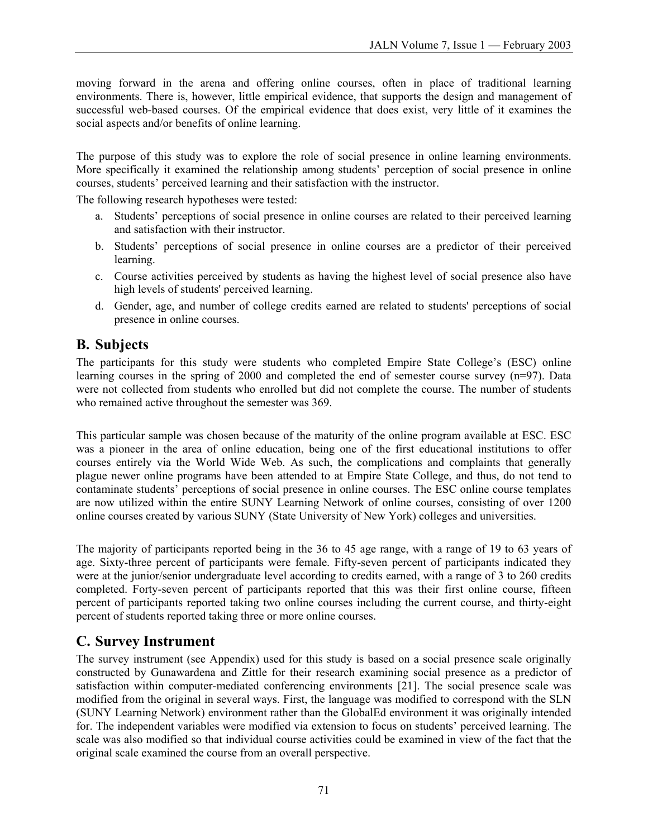moving forward in the arena and offering online courses, often in place of traditional learning environments. There is, however, little empirical evidence, that supports the design and management of successful web-based courses. Of the empirical evidence that does exist, very little of it examines the social aspects and/or benefits of online learning.

The purpose of this study was to explore the role of social presence in online learning environments. More specifically it examined the relationship among students' perception of social presence in online courses, students' perceived learning and their satisfaction with the instructor.

The following research hypotheses were tested:

- a. Students' perceptions of social presence in online courses are related to their perceived learning and satisfaction with their instructor.
- b. Students' perceptions of social presence in online courses are a predictor of their perceived learning.
- c. Course activities perceived by students as having the highest level of social presence also have high levels of students' perceived learning.
- d. Gender, age, and number of college credits earned are related to students' perceptions of social presence in online courses.

#### **B. Subjects**

The participants for this study were students who completed Empire State College's (ESC) online learning courses in the spring of 2000 and completed the end of semester course survey (n=97). Data were not collected from students who enrolled but did not complete the course. The number of students who remained active throughout the semester was 369.

This particular sample was chosen because of the maturity of the online program available at ESC. ESC was a pioneer in the area of online education, being one of the first educational institutions to offer courses entirely via the World Wide Web. As such, the complications and complaints that generally plague newer online programs have been attended to at Empire State College, and thus, do not tend to contaminate students' perceptions of social presence in online courses. The ESC online course templates are now utilized within the entire SUNY Learning Network of online courses, consisting of over 1200 online courses created by various SUNY (State University of New York) colleges and universities.

The majority of participants reported being in the 36 to 45 age range, with a range of 19 to 63 years of age. Sixty-three percent of participants were female. Fifty-seven percent of participants indicated they were at the junior/senior undergraduate level according to credits earned, with a range of 3 to 260 credits completed. Forty-seven percent of participants reported that this was their first online course, fifteen percent of participants reported taking two online courses including the current course, and thirty-eight percent of students reported taking three or more online courses.

#### **C. Survey Instrument**

The survey instrument (see Appendix) used for this study is based on a social presence scale originally constructed by Gunawardena and Zittle for their research examining social presence as a predictor of satisfaction within computer-mediated conferencing environments [21]. The social presence scale was modified from the original in several ways. First, the language was modified to correspond with the SLN (SUNY Learning Network) environment rather than the GlobalEd environment it was originally intended for. The independent variables were modified via extension to focus on students' perceived learning. The scale was also modified so that individual course activities could be examined in view of the fact that the original scale examined the course from an overall perspective.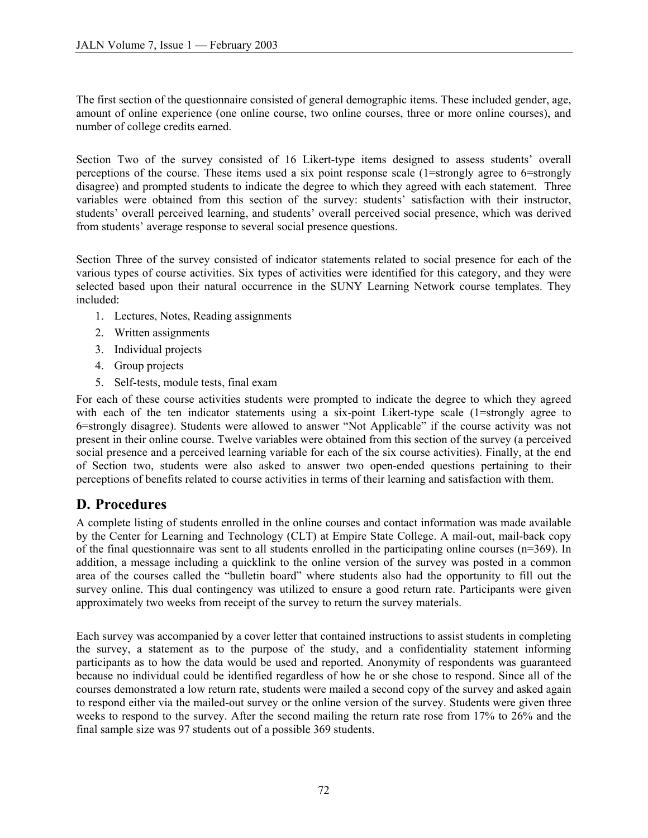The first section of the questionnaire consisted of general demographic items. These included gender, age, amount of online experience (one online course, two online courses, three or more online courses), and number of college credits earned.

Section Two of the survey consisted of 16 Likert-type items designed to assess students' overall perceptions of the course. These items used a six point response scale (1=strongly agree to 6=strongly disagree) and prompted students to indicate the degree to which they agreed with each statement. Three variables were obtained from this section of the survey: students' satisfaction with their instructor, students' overall perceived learning, and students' overall perceived social presence, which was derived from students' average response to several social presence questions.

Section Three of the survey consisted of indicator statements related to social presence for each of the various types of course activities. Six types of activities were identified for this category, and they were selected based upon their natural occurrence in the SUNY Learning Network course templates. They included:

- 1. Lectures, Notes, Reading assignments
- 2. Written assignments
- 3. Individual projects
- 4. Group projects
- 5. Self-tests, module tests, final exam

For each of these course activities students were prompted to indicate the degree to which they agreed with each of the ten indicator statements using a six-point Likert-type scale (1=strongly agree to 6=strongly disagree). Students were allowed to answer "Not Applicable" if the course activity was not present in their online course. Twelve variables were obtained from this section of the survey (a perceived social presence and a perceived learning variable for each of the six course activities). Finally, at the end of Section two, students were also asked to answer two open-ended questions pertaining to their perceptions of benefits related to course activities in terms of their learning and satisfaction with them.

#### **D. Procedures**

A complete listing of students enrolled in the online courses and contact information was made available by the Center for Learning and Technology (CLT) at Empire State College. A mail-out, mail-back copy of the final questionnaire was sent to all students enrolled in the participating online courses (n=369). In addition, a message including a quicklink to the online version of the survey was posted in a common area of the courses called the "bulletin board" where students also had the opportunity to fill out the survey online. This dual contingency was utilized to ensure a good return rate. Participants were given approximately two weeks from receipt of the survey to return the survey materials.

Each survey was accompanied by a cover letter that contained instructions to assist students in completing the survey, a statement as to the purpose of the study, and a confidentiality statement informing participants as to how the data would be used and reported. Anonymity of respondents was guaranteed because no individual could be identified regardless of how he or she chose to respond. Since all of the courses demonstrated a low return rate, students were mailed a second copy of the survey and asked again to respond either via the mailed-out survey or the online version of the survey. Students were given three weeks to respond to the survey. After the second mailing the return rate rose from 17% to 26% and the final sample size was 97 students out of a possible 369 students.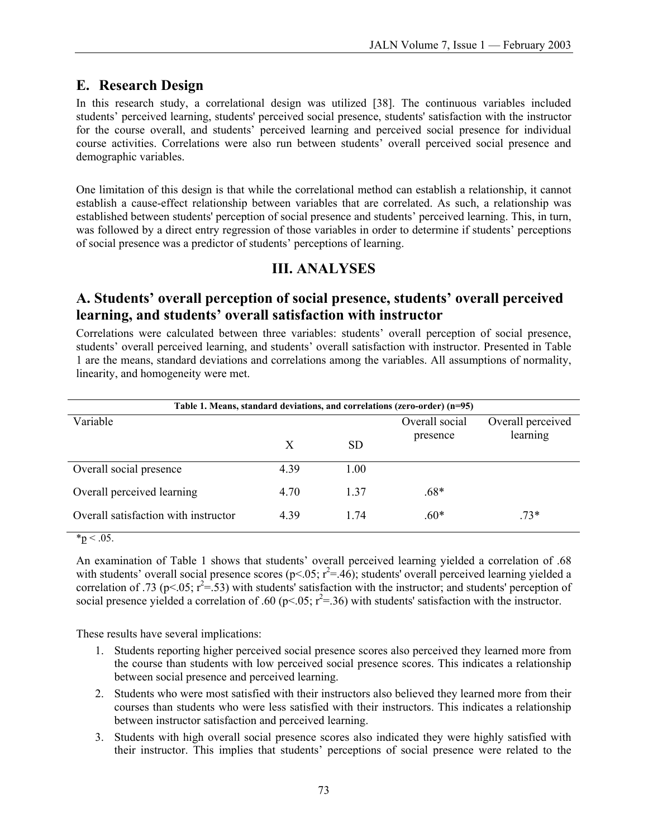#### **E. Research Design**

In this research study, a correlational design was utilized [38]. The continuous variables included students' perceived learning, students' perceived social presence, students' satisfaction with the instructor for the course overall, and students' perceived learning and perceived social presence for individual course activities. Correlations were also run between students' overall perceived social presence and demographic variables.

One limitation of this design is that while the correlational method can establish a relationship, it cannot establish a cause-effect relationship between variables that are correlated. As such, a relationship was established between students' perception of social presence and students' perceived learning. This, in turn, was followed by a direct entry regression of those variables in order to determine if students' perceptions of social presence was a predictor of students' perceptions of learning.

#### **III. ANALYSES**

#### **A. Students' overall perception of social presence, students' overall perceived learning, and students' overall satisfaction with instructor**

Correlations were calculated between three variables: students' overall perception of social presence, students' overall perceived learning, and students' overall satisfaction with instructor. Presented in Table 1 are the means, standard deviations and correlations among the variables. All assumptions of normality, linearity, and homogeneity were met.

| Table 1. Means, standard deviations, and correlations (zero-order) (n=95) |           |                |                               |  |  |  |
|---------------------------------------------------------------------------|-----------|----------------|-------------------------------|--|--|--|
|                                                                           |           | Overall social | Overall perceived<br>learning |  |  |  |
| X                                                                         | <b>SD</b> |                |                               |  |  |  |
| 4.39                                                                      | 1.00      |                |                               |  |  |  |
| 4.70                                                                      | 1.37      | .68*           |                               |  |  |  |
| 4.39                                                                      | 1 74      | $.60*$         | $.73*$                        |  |  |  |
|                                                                           |           |                | presence                      |  |  |  |

 $*_{p} < .05$ .

An examination of Table 1 shows that students' overall perceived learning yielded a correlation of .68 with students' overall social presence scores ( $p<.05; r^2 = .46$ ); students' overall perceived learning yielded a correlation of .73 (p<.05;  $r^2 = .53$ ) with students' satisfaction with the instructor; and students' perception of social presence yielded a correlation of .60 (p<.05;  $r^2$ =.36) with students' satisfaction with the instructor.

These results have several implications:

- 1. Students reporting higher perceived social presence scores also perceived they learned more from the course than students with low perceived social presence scores. This indicates a relationship between social presence and perceived learning.
- 2. Students who were most satisfied with their instructors also believed they learned more from their courses than students who were less satisfied with their instructors. This indicates a relationship between instructor satisfaction and perceived learning.
- 3. Students with high overall social presence scores also indicated they were highly satisfied with their instructor. This implies that students' perceptions of social presence were related to the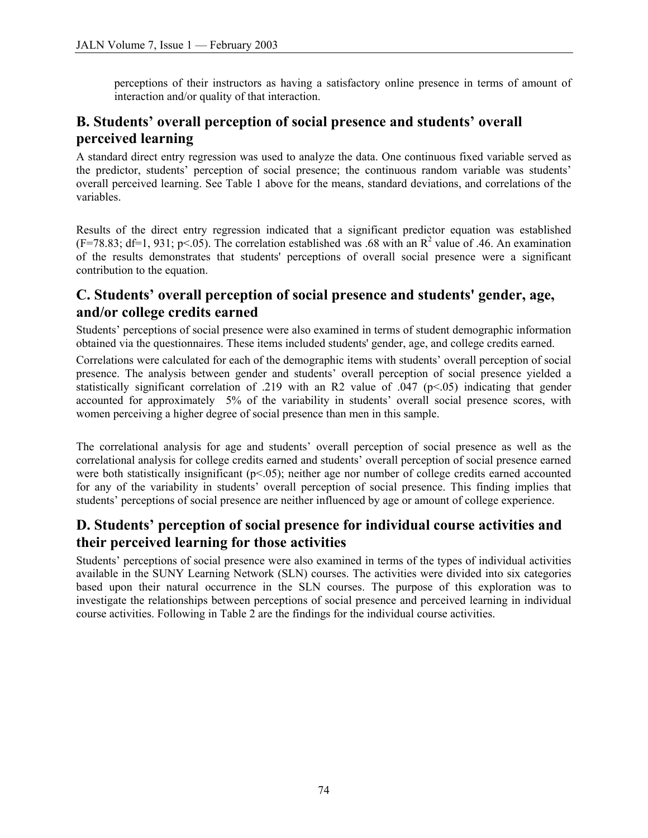perceptions of their instructors as having a satisfactory online presence in terms of amount of interaction and/or quality of that interaction.

## **B. Students' overall perception of social presence and students' overall perceived learning**

A standard direct entry regression was used to analyze the data. One continuous fixed variable served as the predictor, students' perception of social presence; the continuous random variable was students' overall perceived learning. See Table 1 above for the means, standard deviations, and correlations of the variables.

Results of the direct entry regression indicated that a significant predictor equation was established  $(F=78.83; df=1, 931; p<.05)$ . The correlation established was .68 with an R<sup>2</sup> value of .46. An examination of the results demonstrates that students' perceptions of overall social presence were a significant contribution to the equation.

#### **C. Students' overall perception of social presence and students' gender, age, and/or college credits earned**

Students' perceptions of social presence were also examined in terms of student demographic information obtained via the questionnaires. These items included students' gender, age, and college credits earned.

Correlations were calculated for each of the demographic items with students' overall perception of social presence. The analysis between gender and students' overall perception of social presence yielded a statistically significant correlation of .219 with an R2 value of .047 (p<.05) indicating that gender accounted for approximately 5% of the variability in students' overall social presence scores, with women perceiving a higher degree of social presence than men in this sample.

The correlational analysis for age and students' overall perception of social presence as well as the correlational analysis for college credits earned and students' overall perception of social presence earned were both statistically insignificant ( $p<0.05$ ); neither age nor number of college credits earned accounted for any of the variability in students' overall perception of social presence. This finding implies that students' perceptions of social presence are neither influenced by age or amount of college experience.

### **D. Students' perception of social presence for individual course activities and their perceived learning for those activities**

Students' perceptions of social presence were also examined in terms of the types of individual activities available in the SUNY Learning Network (SLN) courses. The activities were divided into six categories based upon their natural occurrence in the SLN courses. The purpose of this exploration was to investigate the relationships between perceptions of social presence and perceived learning in individual course activities. Following in Table 2 are the findings for the individual course activities.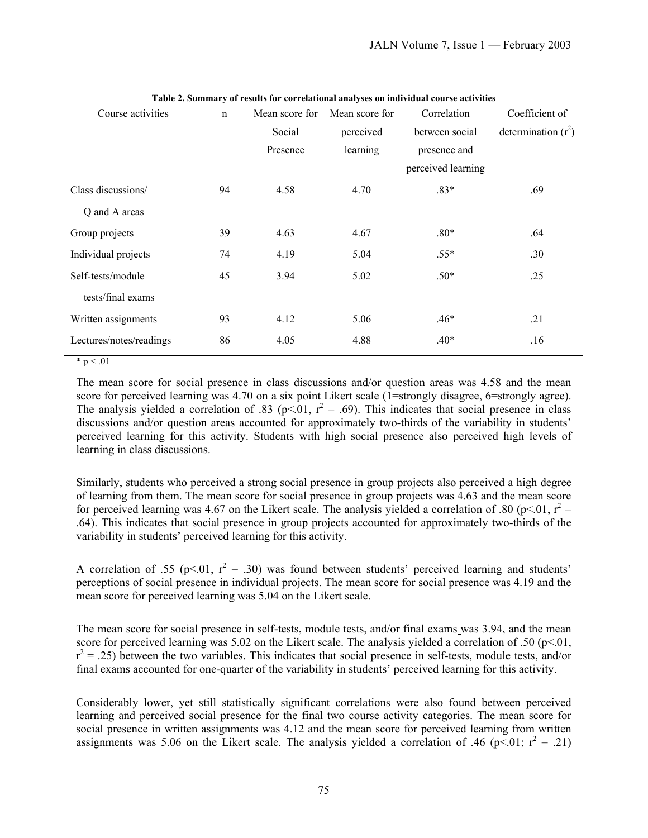| Course activities       | $\mathbf n$ | Mean score for | Mean score for | Correlation        | Coefficient of        |
|-------------------------|-------------|----------------|----------------|--------------------|-----------------------|
|                         |             | Social         | perceived      | between social     | determination $(r^2)$ |
|                         |             | Presence       | learning       | presence and       |                       |
|                         |             |                |                | perceived learning |                       |
| Class discussions/      | 94          | 4.58           | 4.70           | $.83*$             | .69                   |
| Q and A areas           |             |                |                |                    |                       |
| Group projects          | 39          | 4.63           | 4.67           | $.80*$             | .64                   |
| Individual projects     | 74          | 4.19           | 5.04           | $.55*$             | .30                   |
| Self-tests/module       | 45          | 3.94           | 5.02           | $.50*$             | .25                   |
| tests/final exams       |             |                |                |                    |                       |
| Written assignments     | 93          | 4.12           | 5.06           | $.46*$             | .21                   |
| Lectures/notes/readings | 86          | 4.05           | 4.88           | $.40*$             | .16                   |

|  | Table 2. Summary of results for correlational analyses on individual course activities |  |
|--|----------------------------------------------------------------------------------------|--|

 $* p < 01$ 

The mean score for social presence in class discussions and/or question areas was 4.58 and the mean score for perceived learning was 4.70 on a six point Likert scale (1=strongly disagree, 6=strongly agree). The analysis yielded a correlation of .83 (p<.01,  $r^2 = .69$ ). This indicates that social presence in class discussions and/or question areas accounted for approximately two-thirds of the variability in students' perceived learning for this activity. Students with high social presence also perceived high levels of learning in class discussions.

Similarly, students who perceived a strong social presence in group projects also perceived a high degree of learning from them. The mean score for social presence in group projects was 4.63 and the mean score for perceived learning was 4.67 on the Likert scale. The analysis yielded a correlation of .80 (p<.01,  $r^2 =$ .64). This indicates that social presence in group projects accounted for approximately two-thirds of the variability in students' perceived learning for this activity.

A correlation of .55 ( $p<0.01$ ,  $r^2 = .30$ ) was found between students' perceived learning and students' perceptions of social presence in individual projects. The mean score for social presence was 4.19 and the mean score for perceived learning was 5.04 on the Likert scale.

The mean score for social presence in self-tests, module tests, and/or final exams was 3.94, and the mean score for perceived learning was 5.02 on the Likert scale. The analysis yielded a correlation of .50 ( $p<01$ ,  $r^2$  = .25) between the two variables. This indicates that social presence in self-tests, module tests, and/or final exams accounted for one-quarter of the variability in students' perceived learning for this activity.

Considerably lower, yet still statistically significant correlations were also found between perceived learning and perceived social presence for the final two course activity categories. The mean score for social presence in written assignments was 4.12 and the mean score for perceived learning from written assignments was 5.06 on the Likert scale. The analysis yielded a correlation of .46 ( $p<.01$ ;  $r^2 = .21$ )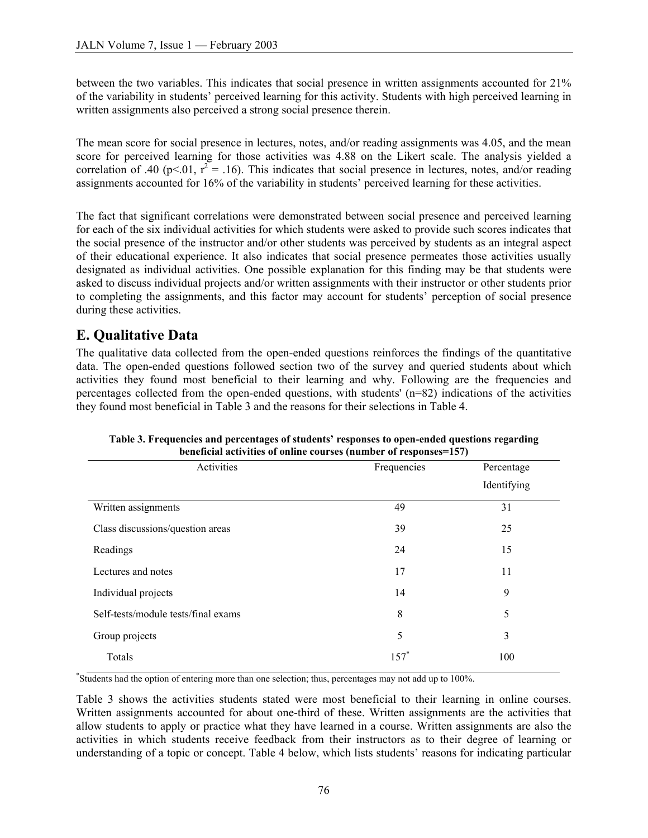between the two variables. This indicates that social presence in written assignments accounted for 21% of the variability in students' perceived learning for this activity. Students with high perceived learning in written assignments also perceived a strong social presence therein.

The mean score for social presence in lectures, notes, and/or reading assignments was 4.05, and the mean score for perceived learning for those activities was 4.88 on the Likert scale. The analysis yielded a correlation of .40 (p<.01,  $r^2 = .16$ ). This indicates that social presence in lectures, notes, and/or reading assignments accounted for 16% of the variability in students' perceived learning for these activities.

The fact that significant correlations were demonstrated between social presence and perceived learning for each of the six individual activities for which students were asked to provide such scores indicates that the social presence of the instructor and/or other students was perceived by students as an integral aspect of their educational experience. It also indicates that social presence permeates those activities usually designated as individual activities. One possible explanation for this finding may be that students were asked to discuss individual projects and/or written assignments with their instructor or other students prior to completing the assignments, and this factor may account for students' perception of social presence during these activities.

### **E. Qualitative Data**

The qualitative data collected from the open-ended questions reinforces the findings of the quantitative data. The open-ended questions followed section two of the survey and queried students about which activities they found most beneficial to their learning and why. Following are the frequencies and percentages collected from the open-ended questions, with students' (n=82) indications of the activities they found most beneficial in Table 3 and the reasons for their selections in Table 4.

| Activities                          | Frequencies | Percentage  |
|-------------------------------------|-------------|-------------|
|                                     |             | Identifying |
| Written assignments                 | 49          | 31          |
| Class discussions/question areas    | 39          | 25          |
| Readings                            | 24          | 15          |
| Lectures and notes                  | 17          | 11          |
| Individual projects                 | 14          | 9           |
| Self-tests/module tests/final exams | 8           | 5           |
| Group projects                      | 5           | 3           |
| Totals                              | $157*$      | 100         |

**Table 3. Frequencies and percentages of students' responses to open-ended questions regarding beneficial activities of online courses (number of responses=157)** 

\* Students had the option of entering more than one selection; thus, percentages may not add up to 100%.

Table 3 shows the activities students stated were most beneficial to their learning in online courses. Written assignments accounted for about one-third of these. Written assignments are the activities that allow students to apply or practice what they have learned in a course. Written assignments are also the activities in which students receive feedback from their instructors as to their degree of learning or understanding of a topic or concept. Table 4 below, which lists students' reasons for indicating particular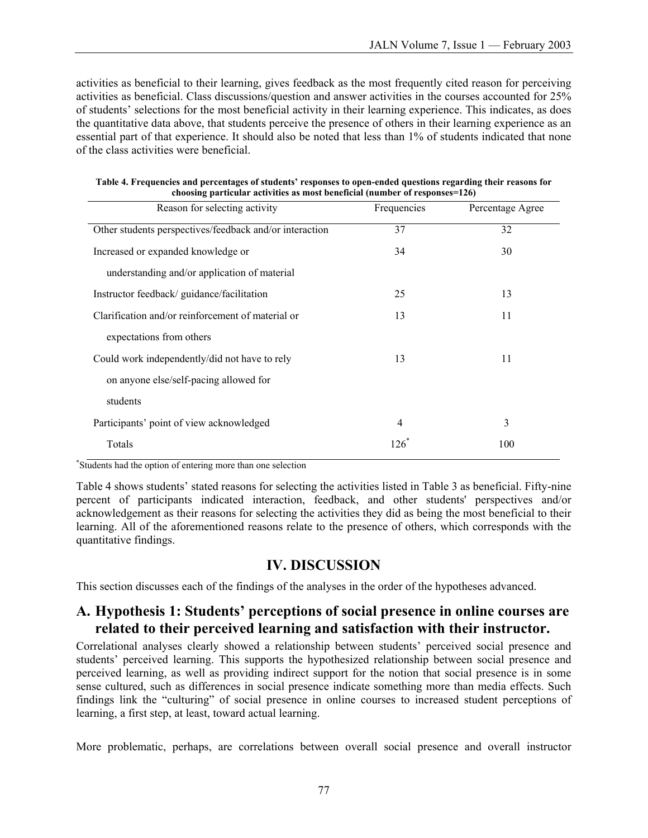activities as beneficial to their learning, gives feedback as the most frequently cited reason for perceiving activities as beneficial. Class discussions/question and answer activities in the courses accounted for 25% of students' selections for the most beneficial activity in their learning experience. This indicates, as does the quantitative data above, that students perceive the presence of others in their learning experience as an essential part of that experience. It should also be noted that less than 1% of students indicated that none of the class activities were beneficial.

| Reason for selecting activity                           | Frequencies | Percentage Agree |
|---------------------------------------------------------|-------------|------------------|
| Other students perspectives/feedback and/or interaction | 37          | 32               |
| Increased or expanded knowledge or                      | 34          | 30               |
| understanding and/or application of material            |             |                  |
| Instructor feedback/guidance/facilitation               | 25          | 13               |
| Clarification and/or reinforcement of material or       | 13          | 11               |
| expectations from others                                |             |                  |
| Could work independently/did not have to rely           | 13          | 11               |
| on anyone else/self-pacing allowed for                  |             |                  |
| students                                                |             |                  |
| Participants' point of view acknowledged                | 4           | 3                |
| Totals                                                  | $126*$      | 100              |

| Table 4. Frequencies and percentages of students' responses to open-ended questions regarding their reasons for |
|-----------------------------------------------------------------------------------------------------------------|
| choosing particular activities as most beneficial (number of responses= $126$ )                                 |

\* Students had the option of entering more than one selection

Table 4 shows students' stated reasons for selecting the activities listed in Table 3 as beneficial. Fifty-nine percent of participants indicated interaction, feedback, and other students' perspectives and/or acknowledgement as their reasons for selecting the activities they did as being the most beneficial to their learning. All of the aforementioned reasons relate to the presence of others, which corresponds with the quantitative findings.

#### **IV. DISCUSSION**

This section discusses each of the findings of the analyses in the order of the hypotheses advanced.

#### **A. Hypothesis 1: Students' perceptions of social presence in online courses are related to their perceived learning and satisfaction with their instructor.**

Correlational analyses clearly showed a relationship between students' perceived social presence and students' perceived learning. This supports the hypothesized relationship between social presence and perceived learning, as well as providing indirect support for the notion that social presence is in some sense cultured, such as differences in social presence indicate something more than media effects. Such findings link the "culturing" of social presence in online courses to increased student perceptions of learning, a first step, at least, toward actual learning.

More problematic, perhaps, are correlations between overall social presence and overall instructor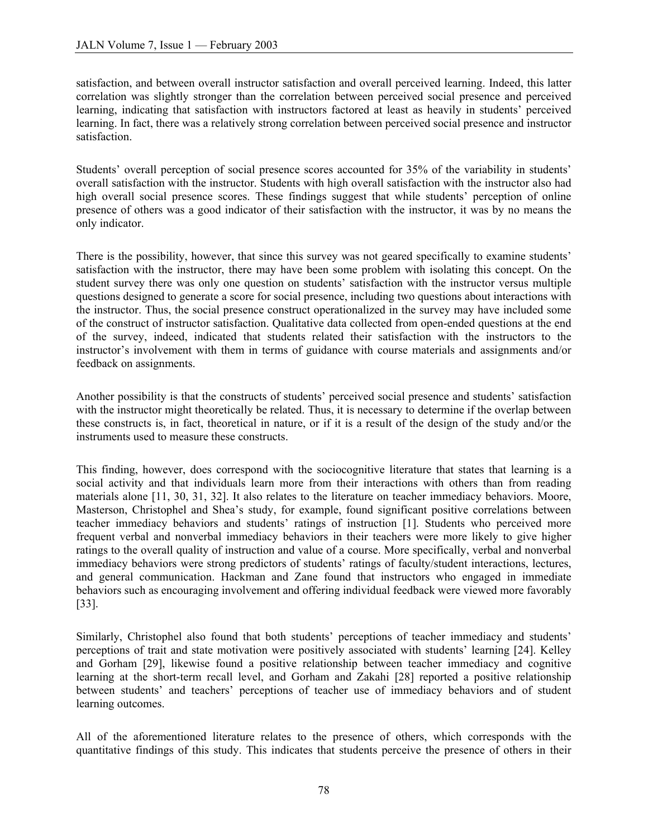satisfaction, and between overall instructor satisfaction and overall perceived learning. Indeed, this latter correlation was slightly stronger than the correlation between perceived social presence and perceived learning, indicating that satisfaction with instructors factored at least as heavily in students' perceived learning. In fact, there was a relatively strong correlation between perceived social presence and instructor satisfaction.

Students' overall perception of social presence scores accounted for 35% of the variability in students' overall satisfaction with the instructor. Students with high overall satisfaction with the instructor also had high overall social presence scores. These findings suggest that while students' perception of online presence of others was a good indicator of their satisfaction with the instructor, it was by no means the only indicator.

There is the possibility, however, that since this survey was not geared specifically to examine students' satisfaction with the instructor, there may have been some problem with isolating this concept. On the student survey there was only one question on students' satisfaction with the instructor versus multiple questions designed to generate a score for social presence, including two questions about interactions with the instructor. Thus, the social presence construct operationalized in the survey may have included some of the construct of instructor satisfaction. Qualitative data collected from open-ended questions at the end of the survey, indeed, indicated that students related their satisfaction with the instructors to the instructor's involvement with them in terms of guidance with course materials and assignments and/or feedback on assignments.

Another possibility is that the constructs of students' perceived social presence and students' satisfaction with the instructor might theoretically be related. Thus, it is necessary to determine if the overlap between these constructs is, in fact, theoretical in nature, or if it is a result of the design of the study and/or the instruments used to measure these constructs.

This finding, however, does correspond with the sociocognitive literature that states that learning is a social activity and that individuals learn more from their interactions with others than from reading materials alone [11, 30, 31, 32]. It also relates to the literature on teacher immediacy behaviors. Moore, Masterson, Christophel and Shea's study, for example, found significant positive correlations between teacher immediacy behaviors and students' ratings of instruction [1]. Students who perceived more frequent verbal and nonverbal immediacy behaviors in their teachers were more likely to give higher ratings to the overall quality of instruction and value of a course. More specifically, verbal and nonverbal immediacy behaviors were strong predictors of students' ratings of faculty/student interactions, lectures, and general communication. Hackman and Zane found that instructors who engaged in immediate behaviors such as encouraging involvement and offering individual feedback were viewed more favorably [33].

Similarly, Christophel also found that both students' perceptions of teacher immediacy and students' perceptions of trait and state motivation were positively associated with students' learning [24]. Kelley and Gorham [29], likewise found a positive relationship between teacher immediacy and cognitive learning at the short-term recall level, and Gorham and Zakahi [28] reported a positive relationship between students' and teachers' perceptions of teacher use of immediacy behaviors and of student learning outcomes.

All of the aforementioned literature relates to the presence of others, which corresponds with the quantitative findings of this study. This indicates that students perceive the presence of others in their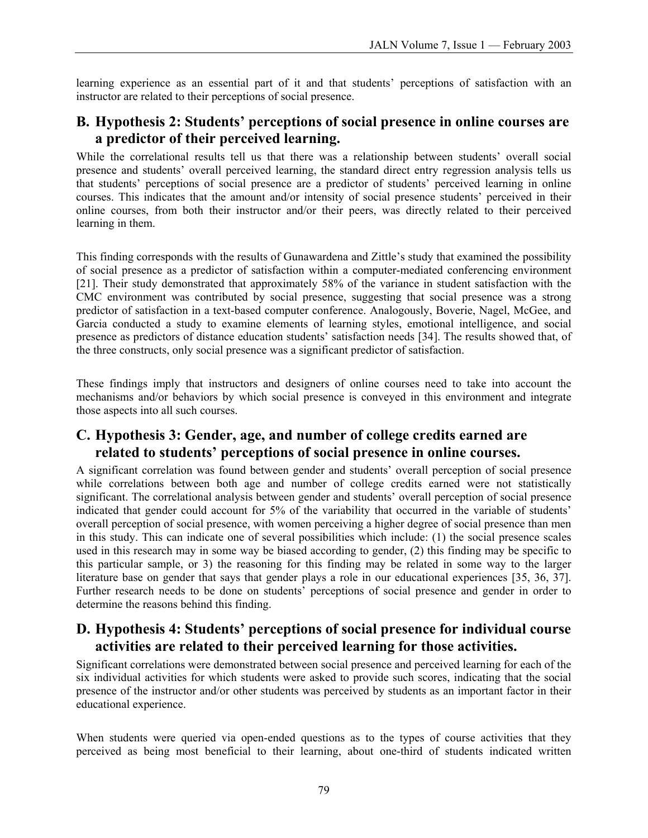learning experience as an essential part of it and that students' perceptions of satisfaction with an instructor are related to their perceptions of social presence.

#### **B. Hypothesis 2: Students' perceptions of social presence in online courses are a predictor of their perceived learning.**

While the correlational results tell us that there was a relationship between students' overall social presence and students' overall perceived learning, the standard direct entry regression analysis tells us that students' perceptions of social presence are a predictor of students' perceived learning in online courses. This indicates that the amount and/or intensity of social presence students' perceived in their online courses, from both their instructor and/or their peers, was directly related to their perceived learning in them.

This finding corresponds with the results of Gunawardena and Zittle's study that examined the possibility of social presence as a predictor of satisfaction within a computer-mediated conferencing environment [21]. Their study demonstrated that approximately 58% of the variance in student satisfaction with the CMC environment was contributed by social presence, suggesting that social presence was a strong predictor of satisfaction in a text-based computer conference. Analogously, Boverie, Nagel, McGee, and Garcia conducted a study to examine elements of learning styles, emotional intelligence, and social presence as predictors of distance education students' satisfaction needs [34]. The results showed that, of the three constructs, only social presence was a significant predictor of satisfaction.

These findings imply that instructors and designers of online courses need to take into account the mechanisms and/or behaviors by which social presence is conveyed in this environment and integrate those aspects into all such courses.

#### **C. Hypothesis 3: Gender, age, and number of college credits earned are related to students' perceptions of social presence in online courses.**

A significant correlation was found between gender and students' overall perception of social presence while correlations between both age and number of college credits earned were not statistically significant. The correlational analysis between gender and students' overall perception of social presence indicated that gender could account for 5% of the variability that occurred in the variable of students' overall perception of social presence, with women perceiving a higher degree of social presence than men in this study. This can indicate one of several possibilities which include: (1) the social presence scales used in this research may in some way be biased according to gender, (2) this finding may be specific to this particular sample, or 3) the reasoning for this finding may be related in some way to the larger literature base on gender that says that gender plays a role in our educational experiences [35, 36, 37]. Further research needs to be done on students' perceptions of social presence and gender in order to determine the reasons behind this finding.

#### **D. Hypothesis 4: Students' perceptions of social presence for individual course activities are related to their perceived learning for those activities.**

Significant correlations were demonstrated between social presence and perceived learning for each of the six individual activities for which students were asked to provide such scores, indicating that the social presence of the instructor and/or other students was perceived by students as an important factor in their educational experience.

When students were queried via open-ended questions as to the types of course activities that they perceived as being most beneficial to their learning, about one-third of students indicated written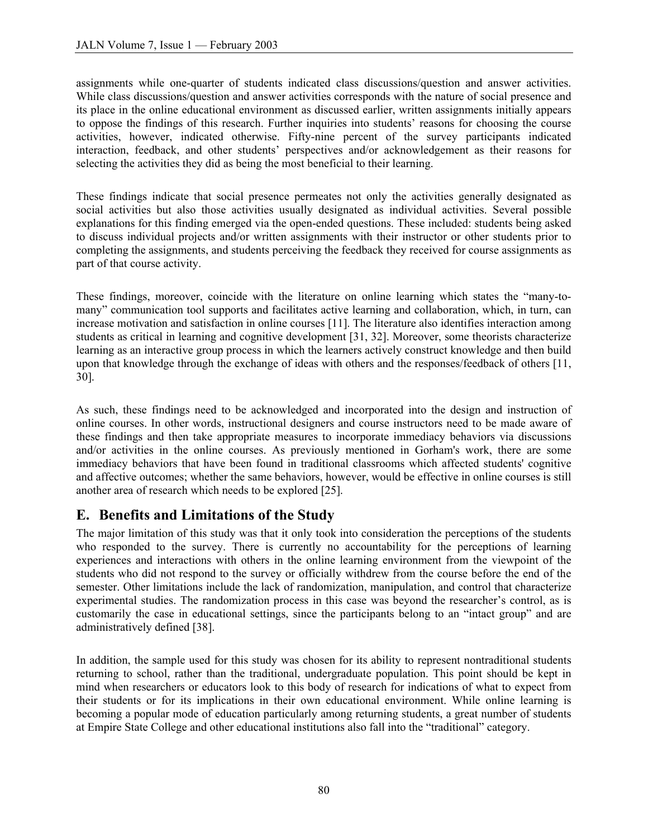assignments while one-quarter of students indicated class discussions/question and answer activities. While class discussions/question and answer activities corresponds with the nature of social presence and its place in the online educational environment as discussed earlier, written assignments initially appears to oppose the findings of this research. Further inquiries into students' reasons for choosing the course activities, however, indicated otherwise. Fifty-nine percent of the survey participants indicated interaction, feedback, and other students' perspectives and/or acknowledgement as their reasons for selecting the activities they did as being the most beneficial to their learning.

These findings indicate that social presence permeates not only the activities generally designated as social activities but also those activities usually designated as individual activities. Several possible explanations for this finding emerged via the open-ended questions. These included: students being asked to discuss individual projects and/or written assignments with their instructor or other students prior to completing the assignments, and students perceiving the feedback they received for course assignments as part of that course activity.

These findings, moreover, coincide with the literature on online learning which states the "many-tomany" communication tool supports and facilitates active learning and collaboration, which, in turn, can increase motivation and satisfaction in online courses [11]. The literature also identifies interaction among students as critical in learning and cognitive development [31, 32]. Moreover, some theorists characterize learning as an interactive group process in which the learners actively construct knowledge and then build upon that knowledge through the exchange of ideas with others and the responses/feedback of others [11, 30].

As such, these findings need to be acknowledged and incorporated into the design and instruction of online courses. In other words, instructional designers and course instructors need to be made aware of these findings and then take appropriate measures to incorporate immediacy behaviors via discussions and/or activities in the online courses. As previously mentioned in Gorham's work, there are some immediacy behaviors that have been found in traditional classrooms which affected students' cognitive and affective outcomes; whether the same behaviors, however, would be effective in online courses is still another area of research which needs to be explored [25].

#### **E. Benefits and Limitations of the Study**

The major limitation of this study was that it only took into consideration the perceptions of the students who responded to the survey. There is currently no accountability for the perceptions of learning experiences and interactions with others in the online learning environment from the viewpoint of the students who did not respond to the survey or officially withdrew from the course before the end of the semester. Other limitations include the lack of randomization, manipulation, and control that characterize experimental studies. The randomization process in this case was beyond the researcher's control, as is customarily the case in educational settings, since the participants belong to an "intact group" and are administratively defined [38].

In addition, the sample used for this study was chosen for its ability to represent nontraditional students returning to school, rather than the traditional, undergraduate population. This point should be kept in mind when researchers or educators look to this body of research for indications of what to expect from their students or for its implications in their own educational environment. While online learning is becoming a popular mode of education particularly among returning students, a great number of students at Empire State College and other educational institutions also fall into the "traditional" category.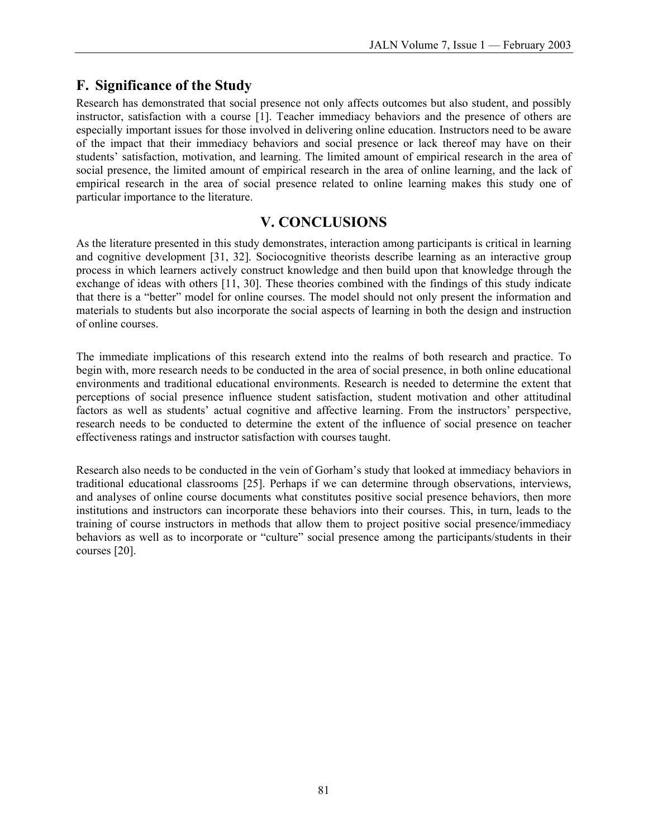#### **F. Significance of the Study**

Research has demonstrated that social presence not only affects outcomes but also student, and possibly instructor, satisfaction with a course [1]. Teacher immediacy behaviors and the presence of others are especially important issues for those involved in delivering online education. Instructors need to be aware of the impact that their immediacy behaviors and social presence or lack thereof may have on their students' satisfaction, motivation, and learning. The limited amount of empirical research in the area of social presence, the limited amount of empirical research in the area of online learning, and the lack of empirical research in the area of social presence related to online learning makes this study one of particular importance to the literature.

#### **V. CONCLUSIONS**

As the literature presented in this study demonstrates, interaction among participants is critical in learning and cognitive development [31, 32]. Sociocognitive theorists describe learning as an interactive group process in which learners actively construct knowledge and then build upon that knowledge through the exchange of ideas with others [11, 30]. These theories combined with the findings of this study indicate that there is a "better" model for online courses. The model should not only present the information and materials to students but also incorporate the social aspects of learning in both the design and instruction of online courses.

The immediate implications of this research extend into the realms of both research and practice. To begin with, more research needs to be conducted in the area of social presence, in both online educational environments and traditional educational environments. Research is needed to determine the extent that perceptions of social presence influence student satisfaction, student motivation and other attitudinal factors as well as students' actual cognitive and affective learning. From the instructors' perspective, research needs to be conducted to determine the extent of the influence of social presence on teacher effectiveness ratings and instructor satisfaction with courses taught.

Research also needs to be conducted in the vein of Gorham's study that looked at immediacy behaviors in traditional educational classrooms [25]. Perhaps if we can determine through observations, interviews, and analyses of online course documents what constitutes positive social presence behaviors, then more institutions and instructors can incorporate these behaviors into their courses. This, in turn, leads to the training of course instructors in methods that allow them to project positive social presence/immediacy behaviors as well as to incorporate or "culture" social presence among the participants/students in their courses [20].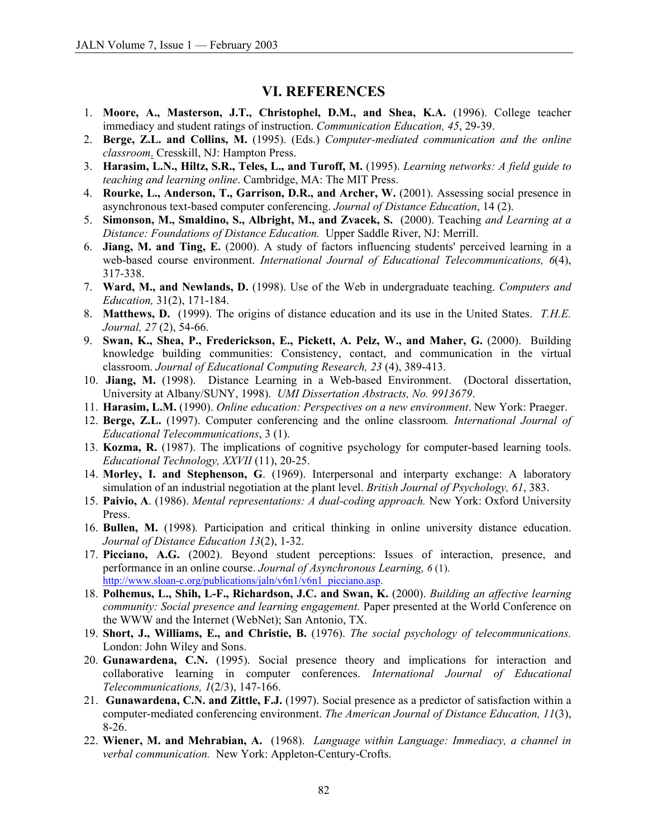#### **VI. REFERENCES**

- 1. **Moore, A., Masterson, J.T., Christophel, D.M., and Shea, K.A.** (1996). College teacher immediacy and student ratings of instruction. *Communication Education, 45*, 29-39.
- 2. **Berge, Z.L. and Collins, M.** (1995). (Eds.) *Computer-mediated communication and the online classroom*. Cresskill, NJ: Hampton Press.
- 3. **Harasim, L.N., Hiltz, S.R., Teles, L., and Turoff, M.** (1995). *Learning networks: A field guide to teaching and learning online*. Cambridge, MA: The MIT Press.
- 4. **Rourke, L., Anderson, T., Garrison, D.R., and Archer, W.** (2001). Assessing social presence in asynchronous text-based computer conferencing. *Journal of Distance Education*, 14 (2).
- 5. **Simonson, M., Smaldino, S., Albright, M., and Zvacek, S.** (2000). Teaching *and Learning at a Distance: Foundations of Distance Education.* Upper Saddle River, NJ: Merrill.
- 6. **Jiang, M. and Ting, E.** (2000). A study of factors influencing students' perceived learning in a web-based course environment. *International Journal of Educational Telecommunications*, 6(4), 317-338.
- 7. **Ward, M., and Newlands, D.** (1998). Use of the Web in undergraduate teaching. *Computers and Education,* 31(2), 171-184.
- 8. **Matthews, D.** (1999). The origins of distance education and its use in the United States. *T.H.E. Journal, 27* (2), 54-66.
- 9. **Swan, K., Shea, P., Frederickson, E., Pickett, A. Pelz, W., and Maher, G.** (2000). Building knowledge building communities: Consistency, contact, and communication in the virtual classroom. *Journal of Educational Computing Research, 23* (4), 389-413.
- 10. **Jiang, M.** (1998). Distance Learning in a Web-based Environment. (Doctoral dissertation, University at Albany/SUNY, 1998). *UMI Dissertation Abstracts, No. 9913679*.
- 11. **Harasim, L.M.** (1990). *Online education: Perspectives on a new environment*. New York: Praeger.
- 12. **Berge, Z.L.** (1997). Computer conferencing and the online classroom*. International Journal of Educational Telecommunications*, 3 (1).
- 13. **Kozma, R.** (1987). The implications of cognitive psychology for computer-based learning tools. *Educational Technology, XXVII* (11), 20-25.
- 14. **Morley, I. and Stephenson, G**. (1969). Interpersonal and interparty exchange: A laboratory simulation of an industrial negotiation at the plant level. *British Journal of Psychology, 61*, 383.
- 15. **Paivio, A**. (1986). *Mental representations: A dual-coding approach.* New York: Oxford University Press.
- 16. **Bullen, M.** (1998)*.* Participation and critical thinking in online university distance education. *Journal of Distance Education 13*(2), 1-32.
- 17. **Picciano, A.G.** (2002). Beyond student perceptions: Issues of interaction, presence, and performance in an online course. *Journal of Asynchronous Learning, 6* (1). [http://www.sloan-c.org/publications/jaln/v6n1/v6n1\\_picciano.asp.](http://www.sloan-c.org/publications/jaln/v6n1/v6n1_picciano.asp)
- 18. **Polhemus, L., Shih, L-F., Richardson, J.C. and Swan, K.** (2000). *Building an affective learning community: Social presence and learning engagement.* Paper presented at the World Conference on the WWW and the Internet (WebNet); San Antonio, TX.
- 19. **Short, J., Williams, E., and Christie, B.** (1976). *The social psychology of telecommunications.* London: John Wiley and Sons.
- 20. **Gunawardena, C.N.** (1995). Social presence theory and implications for interaction and collaborative learning in computer conferences. *International Journal of Educational Telecommunications, 1*(2/3), 147-166.
- 21. **Gunawardena, C.N. and Zittle, F.J.** (1997). Social presence as a predictor of satisfaction within a computer-mediated conferencing environment. *The American Journal of Distance Education, 11*(3), 8-26.
- 22. **Wiener, M. and Mehrabian, A.** (1968). *Language within Language: Immediacy, a channel in verbal communication.* New York: Appleton-Century-Crofts.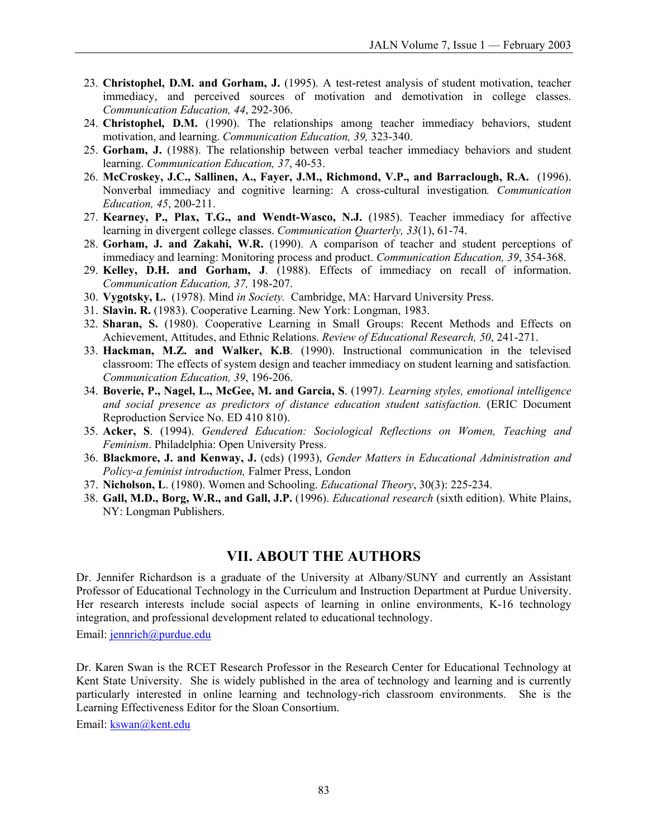- 23. **Christophel, D.M. and Gorham, J.** (1995). A test-retest analysis of student motivation, teacher immediacy, and perceived sources of motivation and demotivation in college classes. *Communication Education, 44*, 292-306.
- 24. **Christophel, D.M.** (1990). The relationships among teacher immediacy behaviors, student motivation, and learning. *Communication Education, 39,* 323-340.
- 25. **Gorham, J.** (1988). The relationship between verbal teacher immediacy behaviors and student learning. *Communication Education, 37*, 40-53.
- 26. **McCroskey, J.C., Sallinen, A., Fayer, J.M., Richmond, V.P., and Barraclough, R.A.** (1996). Nonverbal immediacy and cognitive learning: A cross-cultural investigation*. Communication Education, 45*, 200-211.
- 27. **Kearney, P., Plax, T.G., and Wendt-Wasco, N.J.** (1985). Teacher immediacy for affective learning in divergent college classes. *Communication Quarterly, 33*(1), 61-74.
- 28. **Gorham, J. and Zakahi, W.R.** (1990). A comparison of teacher and student perceptions of immediacy and learning: Monitoring process and product. *Communication Education, 39*, 354-368.
- 29. **Kelley, D.H. and Gorham, J**. (1988). Effects of immediacy on recall of information. *Communication Education, 37,* 198-207.
- 30. **Vygotsky, L.** (1978). Mind *in Society.* Cambridge, MA: Harvard University Press.
- 31. **Slavin. R.** (1983). Cooperative Learning. New York: Longman, 1983.
- 32. **Sharan, S.** (1980). Cooperative Learning in Small Groups: Recent Methods and Effects on Achievement, Attitudes, and Ethnic Relations. *Review of Educational Research, 50*, 241-271.
- 33. **Hackman, M.Z. and Walker, K.B**. (1990). Instructional communication in the televised classroom: The effects of system design and teacher immediacy on student learning and satisfaction*. Communication Education, 39*, 196-206.
- 34. **Boverie, P., Nagel, L., McGee, M. and Garcia, S**. (1997*). Learning styles, emotional intelligence and social presence as predictors of distance education student satisfaction.* (ERIC Document Reproduction Service No. ED 410 810).
- 35. **Acker, S**. (1994). *Gendered Education: Sociological Reflections on Women, Teaching and Feminism*. Philadelphia: Open University Press.
- 36. **Blackmore, J. and Kenway, J.** (eds) (1993), *Gender Matters in Educational Administration and Policy-a feminist introduction,* Falmer Press, London
- 37. **Nicholson, L**. (1980). Women and Schooling. *Educational Theory*, 30(3): 225-234.
- 38. **Gall, M.D., Borg, W.R., and Gall, J.P.** (1996). *Educational research* (sixth edition). White Plains, NY: Longman Publishers.

#### **VII. ABOUT THE AUTHORS**

Dr. Jennifer Richardson is a graduate of the University at Albany/SUNY and currently an Assistant Professor of Educational Technology in the Curriculum and Instruction Department at Purdue University. Her research interests include social aspects of learning in online environments, K-16 technology integration, and professional development related to educational technology.

Email: jennrich@purdue.edu

Dr. Karen Swan is the RCET Research Professor in the Research Center for Educational Technology at Kent State University. She is widely published in the area of technology and learning and is currently particularly interested in online learning and technology-rich classroom environments. She is the Learning Effectiveness Editor for the Sloan Consortium.

Email: kswan@kent.edu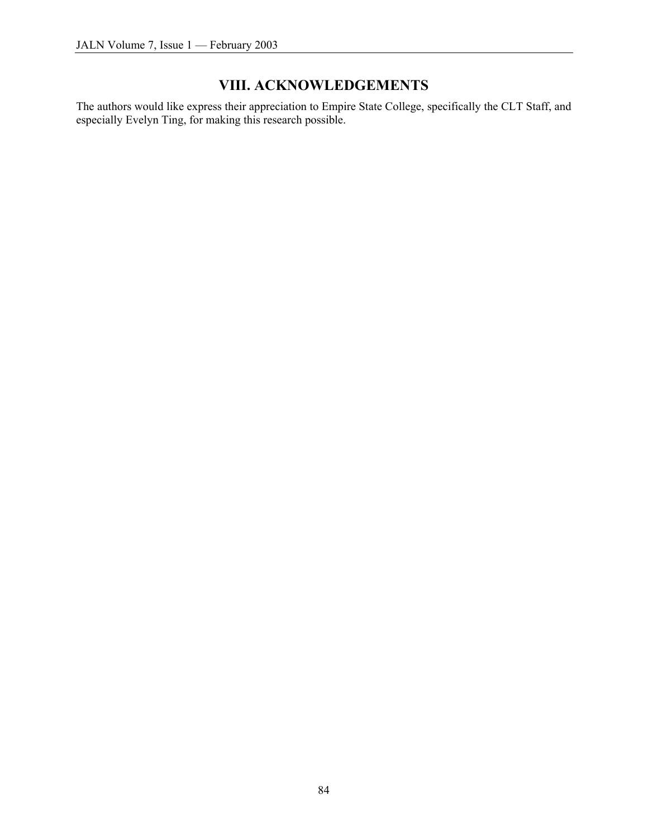# **VIII. ACKNOWLEDGEMENTS**

The authors would like express their appreciation to Empire State College, specifically the CLT Staff, and especially Evelyn Ting, for making this research possible.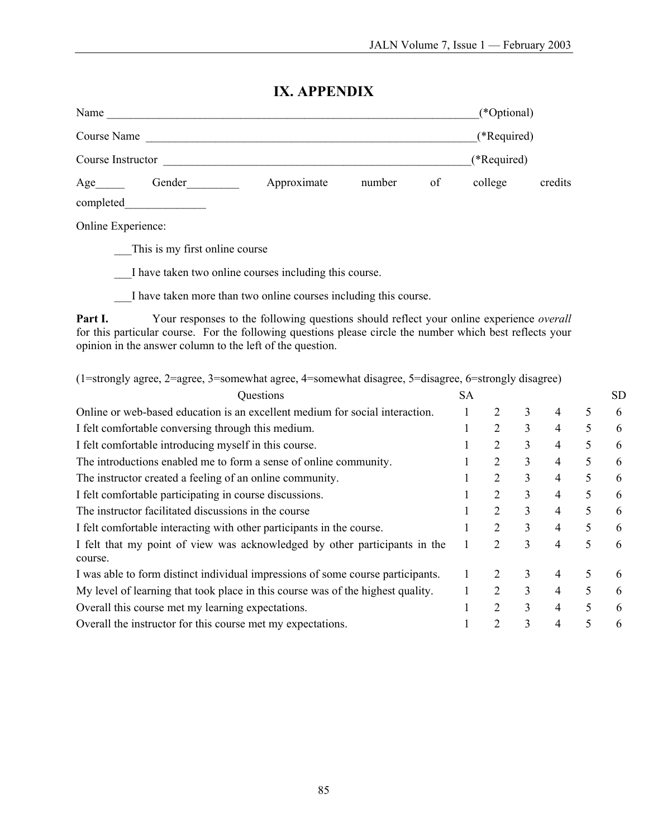#### **IX. APPENDIX**

| Name              |        |             |        |    | (*Optional) |         |
|-------------------|--------|-------------|--------|----|-------------|---------|
| Course Name       |        |             |        |    | (*Required) |         |
| Course Instructor |        |             |        |    | (*Required) |         |
| Age               | Gender | Approximate | number | of | college     | credits |
| completed         |        |             |        |    |             |         |

Online Experience:

\_\_\_This is my first online course

\_\_\_I have taken two online courses including this course.

\_\_\_I have taken more than two online courses including this course.

Part I. Your responses to the following questions should reflect your online experience *overall* for this particular course. For the following questions please circle the number which best reflects your opinion in the answer column to the left of the question.

| (1=strongly agree, 2=agree, 3=somewhat agree, 4=somewhat disagree, 5=disagree, 6=strongly disagree) |           |                |   |   |   |     |
|-----------------------------------------------------------------------------------------------------|-----------|----------------|---|---|---|-----|
| Questions                                                                                           | <b>SA</b> |                |   |   |   | SD. |
| Online or web-based education is an excellent medium for social interaction.                        |           | 2              | 3 | 4 | 5 | 6   |
| I felt comfortable conversing through this medium.                                                  |           | 2              | 3 | 4 | 5 | 6   |
| I felt comfortable introducing myself in this course.                                               |           | 2              | 3 | 4 | 5 | 6   |
| The introductions enabled me to form a sense of online community.                                   |           | $\overline{2}$ | 3 | 4 | 5 | 6   |
| The instructor created a feeling of an online community.                                            |           | 2              | 3 | 4 | 5 | 6   |
| I felt comfortable participating in course discussions.                                             |           | 2              | 3 | 4 | 5 | 6   |
| The instructor facilitated discussions in the course                                                |           | 2              | 3 | 4 | 5 | 6   |
| I felt comfortable interacting with other participants in the course.                               |           | 2              | 3 | 4 | 5 | 6   |
| I felt that my point of view was acknowledged by other participants in the<br>course.               |           | 2              | 3 | 4 | 5 | 6   |
| I was able to form distinct individual impressions of some course participants.                     |           |                | 3 | 4 | 5 | 6   |
| My level of learning that took place in this course was of the highest quality.                     |           | 2              | 3 | 4 | 5 | 6   |
| Overall this course met my learning expectations.                                                   |           | $\overline{2}$ | 3 | 4 | 5 | 6   |
| Overall the instructor for this course met my expectations.                                         |           | $\mathcal{D}$  | 3 | 4 |   | 6   |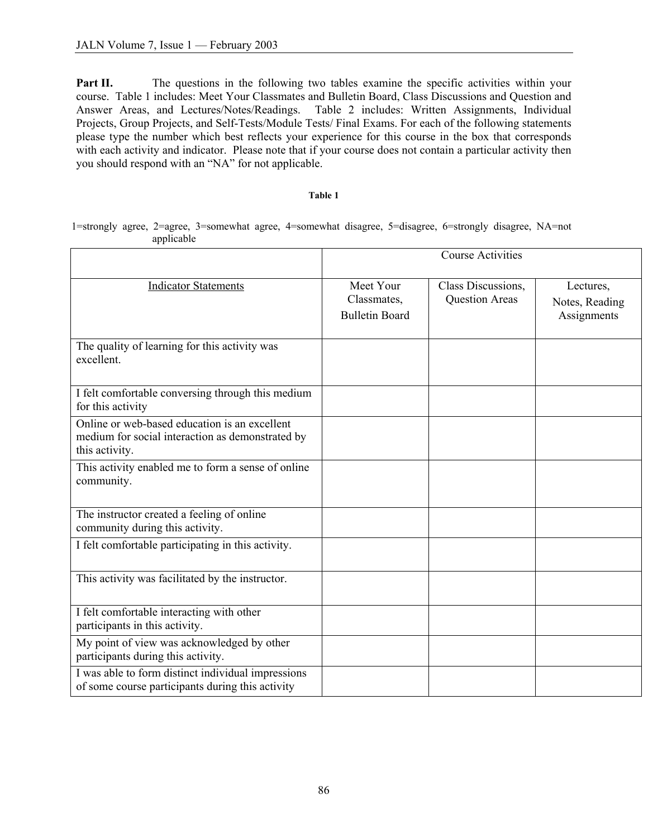**Part II.** The questions in the following two tables examine the specific activities within your course. Table 1 includes: Meet Your Classmates and Bulletin Board, Class Discussions and Question and Answer Areas, and Lectures/Notes/Readings. Table 2 includes: Written Assignments, Individual Projects, Group Projects, and Self-Tests/Module Tests/ Final Exams. For each of the following statements please type the number which best reflects your experience for this course in the box that corresponds with each activity and indicator. Please note that if your course does not contain a particular activity then you should respond with an "NA" for not applicable.

#### **Table 1**

1=strongly agree, 2=agree, 3=somewhat agree, 4=somewhat disagree, 5=disagree, 6=strongly disagree, NA=not applicable

|                                                                                                                     | <b>Course Activities</b>                          |                                             |                                            |  |
|---------------------------------------------------------------------------------------------------------------------|---------------------------------------------------|---------------------------------------------|--------------------------------------------|--|
| <b>Indicator Statements</b>                                                                                         | Meet Your<br>Classmates,<br><b>Bulletin Board</b> | Class Discussions,<br><b>Question Areas</b> | Lectures,<br>Notes, Reading<br>Assignments |  |
| The quality of learning for this activity was<br>excellent.                                                         |                                                   |                                             |                                            |  |
| I felt comfortable conversing through this medium<br>for this activity                                              |                                                   |                                             |                                            |  |
| Online or web-based education is an excellent<br>medium for social interaction as demonstrated by<br>this activity. |                                                   |                                             |                                            |  |
| This activity enabled me to form a sense of online<br>community.                                                    |                                                   |                                             |                                            |  |
| The instructor created a feeling of online<br>community during this activity.                                       |                                                   |                                             |                                            |  |
| I felt comfortable participating in this activity.                                                                  |                                                   |                                             |                                            |  |
| This activity was facilitated by the instructor.                                                                    |                                                   |                                             |                                            |  |
| I felt comfortable interacting with other<br>participants in this activity.                                         |                                                   |                                             |                                            |  |
| My point of view was acknowledged by other<br>participants during this activity.                                    |                                                   |                                             |                                            |  |
| I was able to form distinct individual impressions<br>of some course participants during this activity              |                                                   |                                             |                                            |  |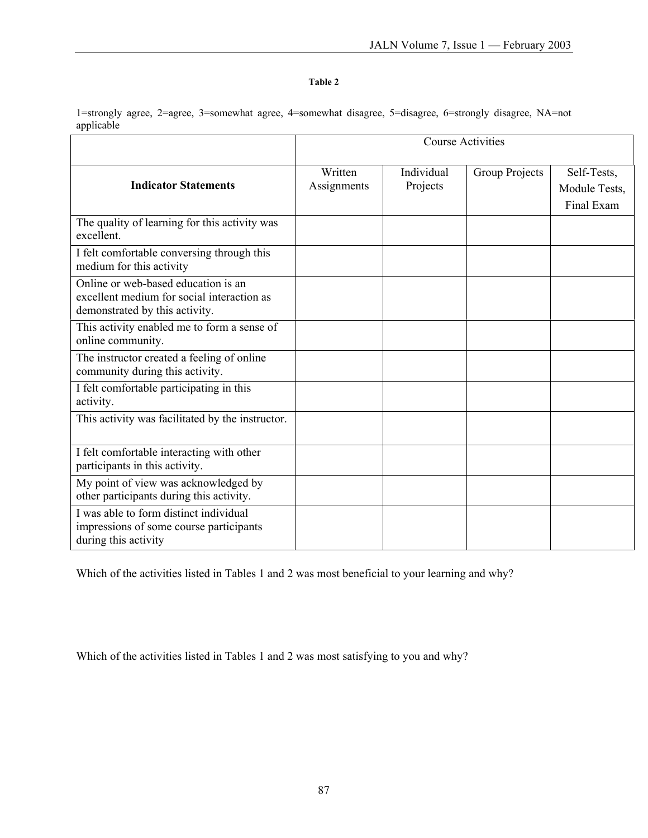#### **Table 2**

1=strongly agree, 2=agree, 3=somewhat agree, 4=somewhat disagree, 5=disagree, 6=strongly disagree, NA=not applicable

|                                                                                                                     | <b>Course Activities</b> |                        |                |                                            |  |
|---------------------------------------------------------------------------------------------------------------------|--------------------------|------------------------|----------------|--------------------------------------------|--|
| <b>Indicator Statements</b>                                                                                         | Written<br>Assignments   | Individual<br>Projects | Group Projects | Self-Tests,<br>Module Tests,<br>Final Exam |  |
| The quality of learning for this activity was<br>excellent.                                                         |                          |                        |                |                                            |  |
| I felt comfortable conversing through this<br>medium for this activity                                              |                          |                        |                |                                            |  |
| Online or web-based education is an<br>excellent medium for social interaction as<br>demonstrated by this activity. |                          |                        |                |                                            |  |
| This activity enabled me to form a sense of<br>online community.                                                    |                          |                        |                |                                            |  |
| The instructor created a feeling of online<br>community during this activity.                                       |                          |                        |                |                                            |  |
| I felt comfortable participating in this<br>activity.                                                               |                          |                        |                |                                            |  |
| This activity was facilitated by the instructor.                                                                    |                          |                        |                |                                            |  |
| I felt comfortable interacting with other<br>participants in this activity.                                         |                          |                        |                |                                            |  |
| My point of view was acknowledged by<br>other participants during this activity.                                    |                          |                        |                |                                            |  |
| I was able to form distinct individual<br>impressions of some course participants<br>during this activity           |                          |                        |                |                                            |  |

Which of the activities listed in Tables 1 and 2 was most beneficial to your learning and why?

Which of the activities listed in Tables 1 and 2 was most satisfying to you and why?